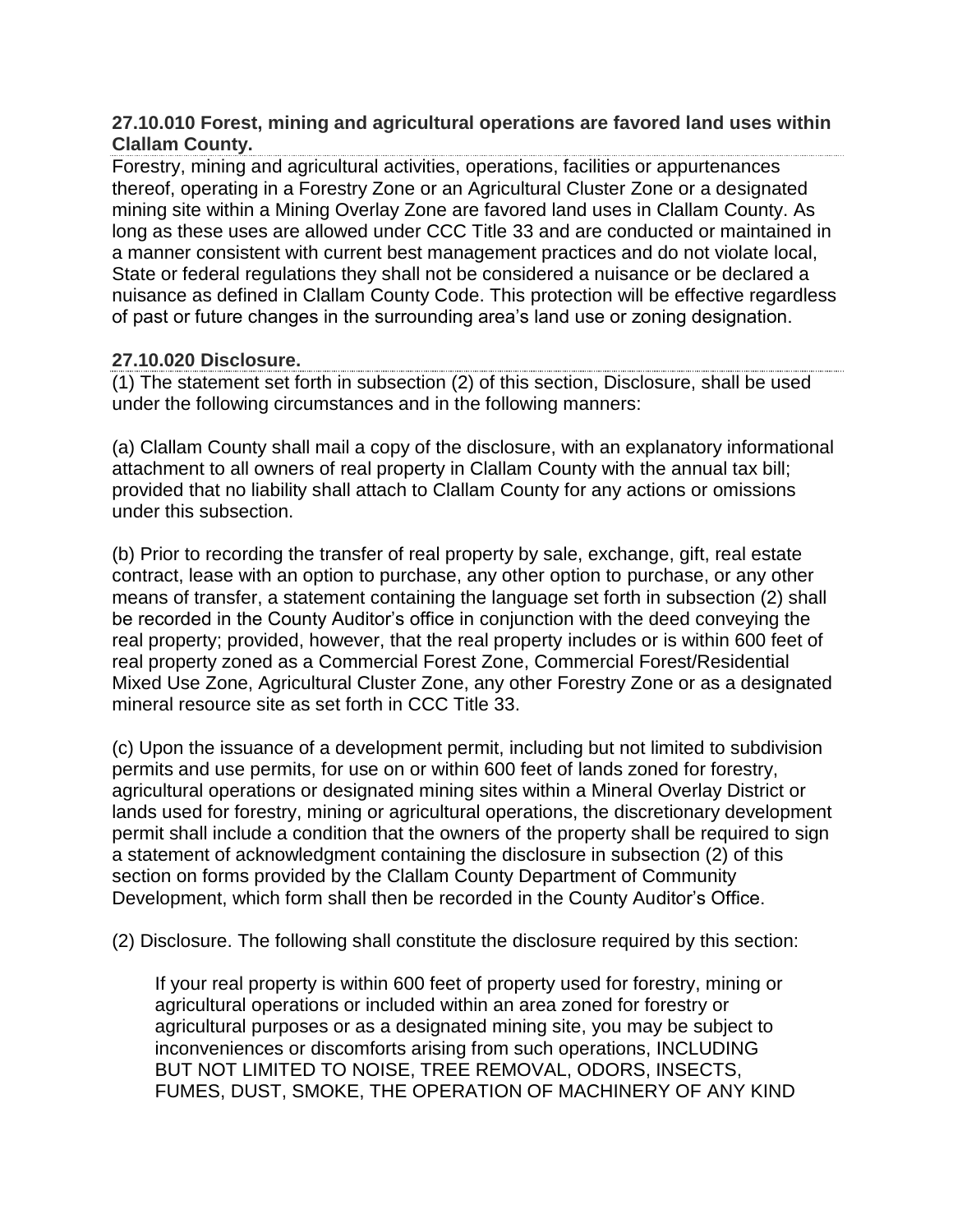# **27.10.010 Forest, mining and agricultural operations are favored land uses within Clallam County.**

Forestry, mining and agricultural activities, operations, facilities or appurtenances thereof, operating in a Forestry Zone or an Agricultural Cluster Zone or a designated mining site within a Mining Overlay Zone are favored land uses in Clallam County. As long as these uses are allowed under CCC Title [33](https://www.codepublishing.com/WA/ClallamCounty/html/ClallamCounty33/ClallamCounty33.html#33) and are conducted or maintained in a manner consistent with current best management practices and do not violate local, State or federal regulations they shall not be considered a nuisance or be declared a nuisance as defined in Clallam County Code. This protection will be effective regardless of past or future changes in the surrounding area's land use or zoning designation.

# **27.10.020 Disclosure.**

(1) The statement set forth in subsection (2) of this section, Disclosure, shall be used under the following circumstances and in the following manners:

(a) Clallam County shall mail a copy of the disclosure, with an explanatory informational attachment to all owners of real property in Clallam County with the annual tax bill; provided that no liability shall attach to Clallam County for any actions or omissions under this subsection.

(b) Prior to recording the transfer of real property by sale, exchange, gift, real estate contract, lease with an option to purchase, any other option to purchase, or any other means of transfer, a statement containing the language set forth in subsection (2) shall be recorded in the County Auditor's office in conjunction with the deed conveying the real property; provided, however, that the real property includes or is within 600 feet of real property zoned as a Commercial Forest Zone, Commercial Forest/Residential Mixed Use Zone, Agricultural Cluster Zone, any other Forestry Zone or as a designated mineral resource site as set forth in CCC Title [33.](https://www.codepublishing.com/WA/ClallamCounty/html/ClallamCounty33/ClallamCounty33.html#33)

(c) Upon the issuance of a development permit, including but not limited to subdivision permits and use permits, for use on or within 600 feet of lands zoned for forestry, agricultural operations or designated mining sites within a Mineral Overlay District or lands used for forestry, mining or agricultural operations, the discretionary development permit shall include a condition that the owners of the property shall be required to sign a statement of acknowledgment containing the disclosure in subsection (2) of this section on forms provided by the Clallam County Department of Community Development, which form shall then be recorded in the County Auditor's Office.

(2) Disclosure. The following shall constitute the disclosure required by this section:

If your real property is within 600 feet of property used for forestry, mining or agricultural operations or included within an area zoned for forestry or agricultural purposes or as a designated mining site, you may be subject to inconveniences or discomforts arising from such operations, INCLUDING BUT NOT LIMITED TO NOISE, TREE REMOVAL, ODORS, INSECTS, FUMES, DUST, SMOKE, THE OPERATION OF MACHINERY OF ANY KIND